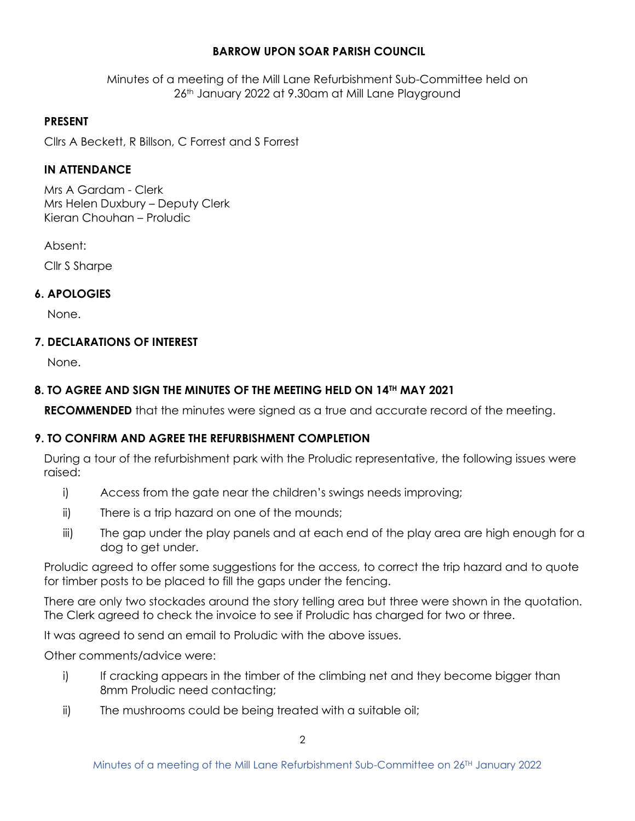# **BARROW UPON SOAR PARISH COUNCIL**

Minutes of a meeting of the Mill Lane Refurbishment Sub-Committee held on 26th January 2022 at 9.30am at Mill Lane Playground

### **PRESENT**

Cllrs A Beckett, R Billson, C Forrest and S Forrest

### **IN ATTENDANCE**

Mrs A Gardam - Clerk Mrs Helen Duxbury – Deputy Clerk Kieran Chouhan – Proludic

Absent:

Cllr S Sharpe

### **6. APOLOGIES**

None.

### **7. DECLARATIONS OF INTEREST**

None.

# **8. TO AGREE AND SIGN THE MINUTES OF THE MEETING HELD ON 14TH MAY 2021**

**RECOMMENDED** that the minutes were signed as a true and accurate record of the meeting.

# **9. TO CONFIRM AND AGREE THE REFURBISHMENT COMPLETION**

During a tour of the refurbishment park with the Proludic representative, the following issues were raised:

- i) Access from the gate near the children's swings needs improving;
- ii) There is a trip hazard on one of the mounds;
- iii) The gap under the play panels and at each end of the play area are high enough for a dog to get under.

Proludic agreed to offer some suggestions for the access, to correct the trip hazard and to quote for timber posts to be placed to fill the gaps under the fencing.

There are only two stockades around the story telling area but three were shown in the quotation. The Clerk agreed to check the invoice to see if Proludic has charged for two or three.

It was agreed to send an email to Proludic with the above issues.

Other comments/advice were:

- i) If cracking appears in the timber of the climbing net and they become bigger than 8mm Proludic need contacting;
- ii) The mushrooms could be being treated with a suitable oil;